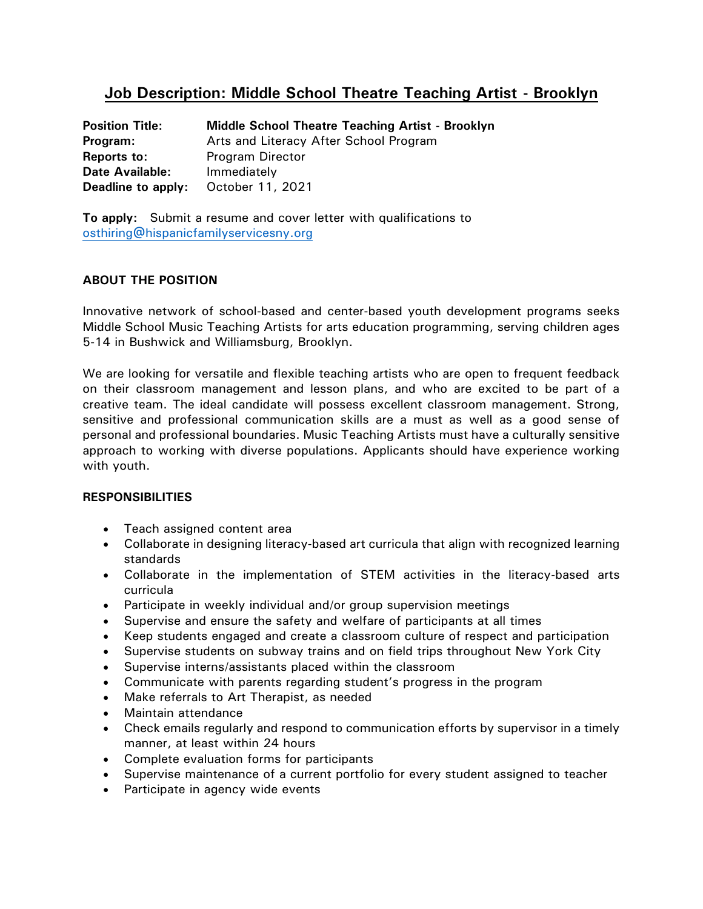# **Job Description: Middle School Theatre Teaching Artist - Brooklyn**

| <b>Position Title:</b> | <b>Middle School Theatre Teaching Artist - Brooklyn</b> |
|------------------------|---------------------------------------------------------|
| Program:               | Arts and Literacy After School Program                  |
| Reports to:            | <b>Program Director</b>                                 |
| <b>Date Available:</b> | Immediately                                             |
| Deadline to apply:     | October 11, 2021                                        |

**To apply:** Submit a resume and cover letter with qualifications to [osthiring@hispanicfamilyservicesny.org](mailto:osthiring@hispanicfamilyservicesny.org)

## **ABOUT THE POSITION**

Innovative network of school-based and center-based youth development programs seeks Middle School Music Teaching Artists for arts education programming, serving children ages 5-14 in Bushwick and Williamsburg, Brooklyn.

We are looking for versatile and flexible teaching artists who are open to frequent feedback on their classroom management and lesson plans, and who are excited to be part of a creative team. The ideal candidate will possess excellent classroom management. Strong, sensitive and professional communication skills are a must as well as a good sense of personal and professional boundaries. Music Teaching Artists must have a culturally sensitive approach to working with diverse populations. Applicants should have experience working with youth.

### **RESPONSIBILITIES**

- Teach assigned content area
- Collaborate in designing literacy-based art curricula that align with recognized learning standards
- Collaborate in the implementation of STEM activities in the literacy-based arts curricula
- Participate in weekly individual and/or group supervision meetings
- Supervise and ensure the safety and welfare of participants at all times
- Keep students engaged and create a classroom culture of respect and participation
- Supervise students on subway trains and on field trips throughout New York City
- Supervise interns/assistants placed within the classroom
- Communicate with parents regarding student's progress in the program
- Make referrals to Art Therapist, as needed
- Maintain attendance
- Check emails regularly and respond to communication efforts by supervisor in a timely manner, at least within 24 hours
- Complete evaluation forms for participants
- Supervise maintenance of a current portfolio for every student assigned to teacher
- Participate in agency wide events